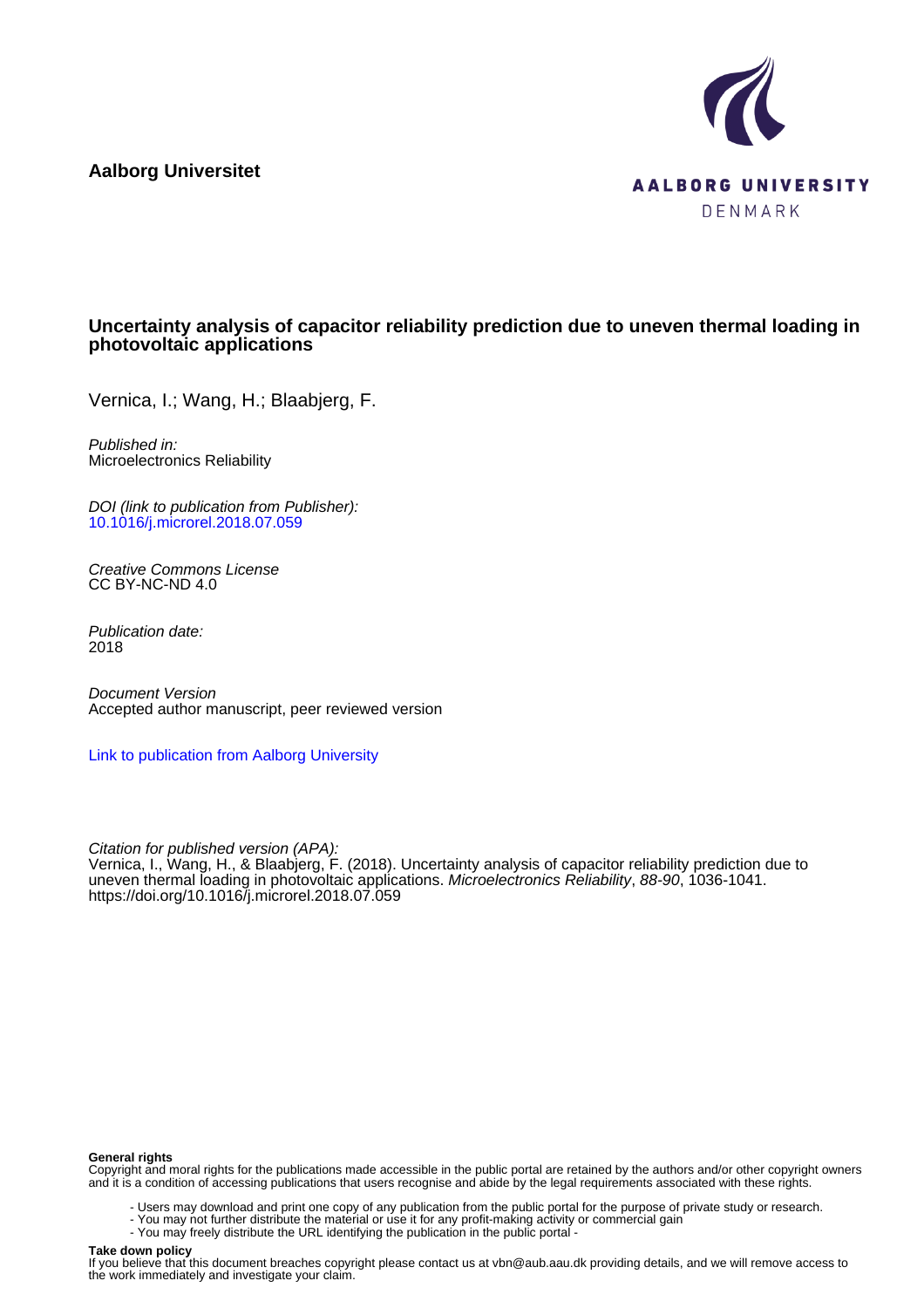**Aalborg Universitet**



# **Uncertainty analysis of capacitor reliability prediction due to uneven thermal loading in photovoltaic applications**

Vernica, I.; Wang, H.; Blaabjerg, F.

Published in: Microelectronics Reliability

DOI (link to publication from Publisher): [10.1016/j.microrel.2018.07.059](https://doi.org/10.1016/j.microrel.2018.07.059)

Creative Commons License CC BY-NC-ND 4.0

Publication date: 2018

Document Version Accepted author manuscript, peer reviewed version

[Link to publication from Aalborg University](https://vbn.aau.dk/en/publications/7d51c296-eae5-4ba4-a112-a2856fc3a507)

Citation for published version (APA): Vernica, I., Wang, H., & Blaabjerg, F. (2018). Uncertainty analysis of capacitor reliability prediction due to uneven thermal loading in photovoltaic applications. Microelectronics Reliability, 88-90, 1036-1041. <https://doi.org/10.1016/j.microrel.2018.07.059>

#### **General rights**

Copyright and moral rights for the publications made accessible in the public portal are retained by the authors and/or other copyright owners and it is a condition of accessing publications that users recognise and abide by the legal requirements associated with these rights.

- Users may download and print one copy of any publication from the public portal for the purpose of private study or research.
- You may not further distribute the material or use it for any profit-making activity or commercial gain
- You may freely distribute the URL identifying the publication in the public portal -

#### **Take down policy**

If you believe that this document breaches copyright please contact us at vbn@aub.aau.dk providing details, and we will remove access to the work immediately and investigate your claim.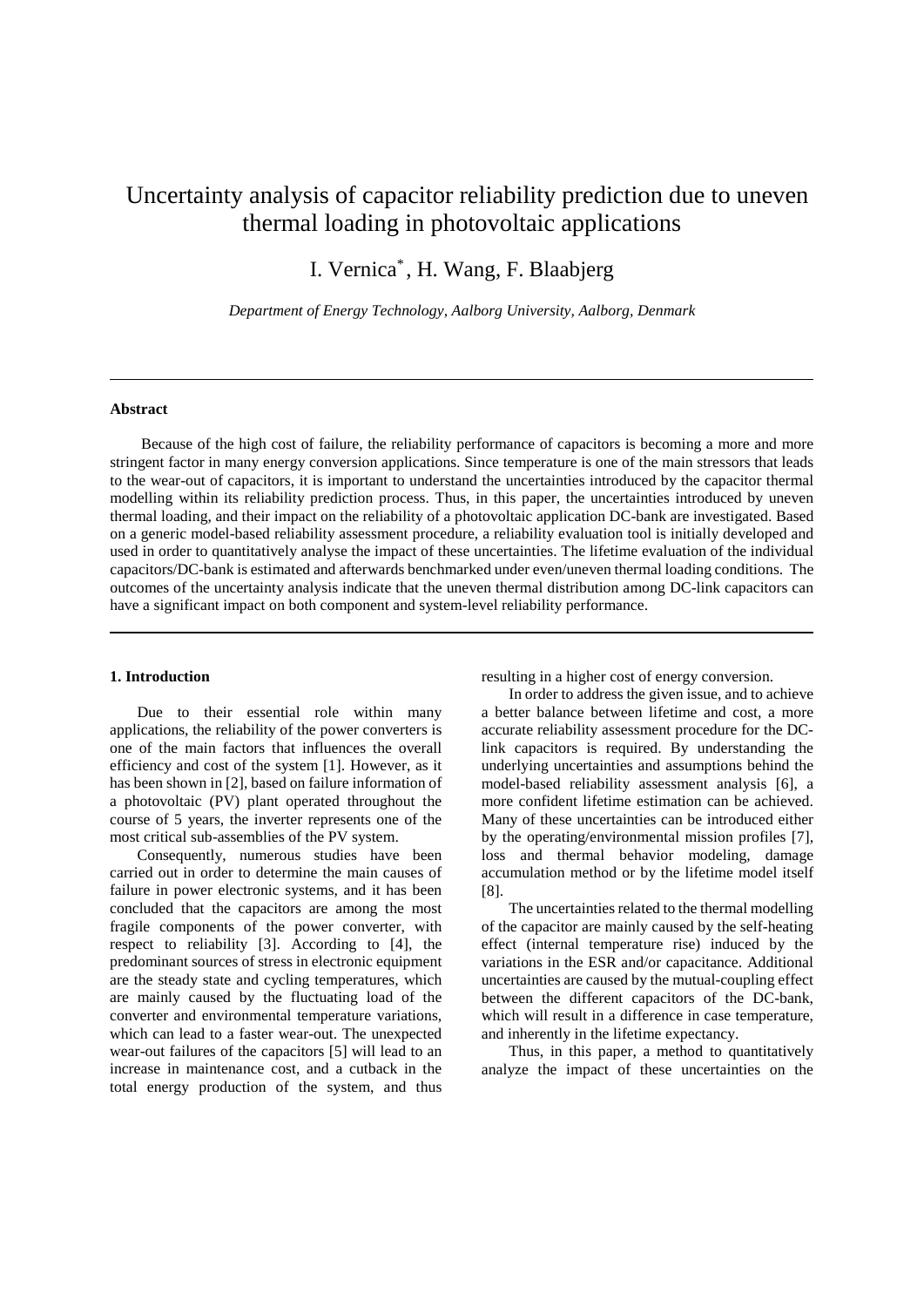# Uncertainty analysis of capacitor reliability prediction due to uneven thermal loading in photovoltaic applications

I. Vernica\* , H. Wang, F. Blaabjerg

*Department of Energy Technology, Aalborg University, Aalborg, Denmark*

#### **Abstract**

 Because of the high cost of failure, the reliability performance of capacitors is becoming a more and more stringent factor in many energy conversion applications. Since temperature is one of the main stressors that leads to the wear-out of capacitors, it is important to understand the uncertainties introduced by the capacitor thermal modelling within its reliability prediction process. Thus, in this paper, the uncertainties introduced by uneven thermal loading, and their impact on the reliability of a photovoltaic application DC-bank are investigated. Based on a generic model-based reliability assessment procedure, a reliability evaluation tool is initially developed and used in order to quantitatively analyse the impact of these uncertainties. The lifetime evaluation of the individual capacitors/DC-bank is estimated and afterwards benchmarked under even/uneven thermal loading conditions. The outcomes of the uncertainty analysis indicate that the uneven thermal distribution among DC-link capacitors can have a significant impact on both component and system-level reliability performance.

#### **1. Introduction**

Due to their essential role within many applications, the reliability of the power converters is one of the main factors that influences the overall efficiency and cost of the system [1]. However, as it has been shown in [2], based on failure information of a photovoltaic (PV) plant operated throughout the course of 5 years, the inverter represents one of the most critical sub-assemblies of the PV system.

Consequently, numerous studies have been carried out in order to determine the main causes of failure in power electronic systems, and it has been concluded that the capacitors are among the most fragile components of the power converter, with respect to reliability [3]. According to [4], the predominant sources of stress in electronic equipment are the steady state and cycling temperatures, which are mainly caused by the fluctuating load of the converter and environmental temperature variations, which can lead to a faster wear-out. The unexpected wear-out failures of the capacitors [5] will lead to an increase in maintenance cost, and a cutback in the total energy production of the system, and thus resulting in a higher cost of energy conversion.

In order to address the given issue, and to achieve a better balance between lifetime and cost, a more accurate reliability assessment procedure for the DClink capacitors is required. By understanding the underlying uncertainties and assumptions behind the model-based reliability assessment analysis [6], a more confident lifetime estimation can be achieved. Many of these uncertainties can be introduced either by the operating/environmental mission profiles [7], loss and thermal behavior modeling, damage accumulation method or by the lifetime model itself [8].

The uncertainties related to the thermal modelling of the capacitor are mainly caused by the self-heating effect (internal temperature rise) induced by the variations in the ESR and/or capacitance. Additional uncertainties are caused by the mutual-coupling effect between the different capacitors of the DC-bank, which will result in a difference in case temperature, and inherently in the lifetime expectancy.

Thus, in this paper, a method to quantitatively analyze the impact of these uncertainties on the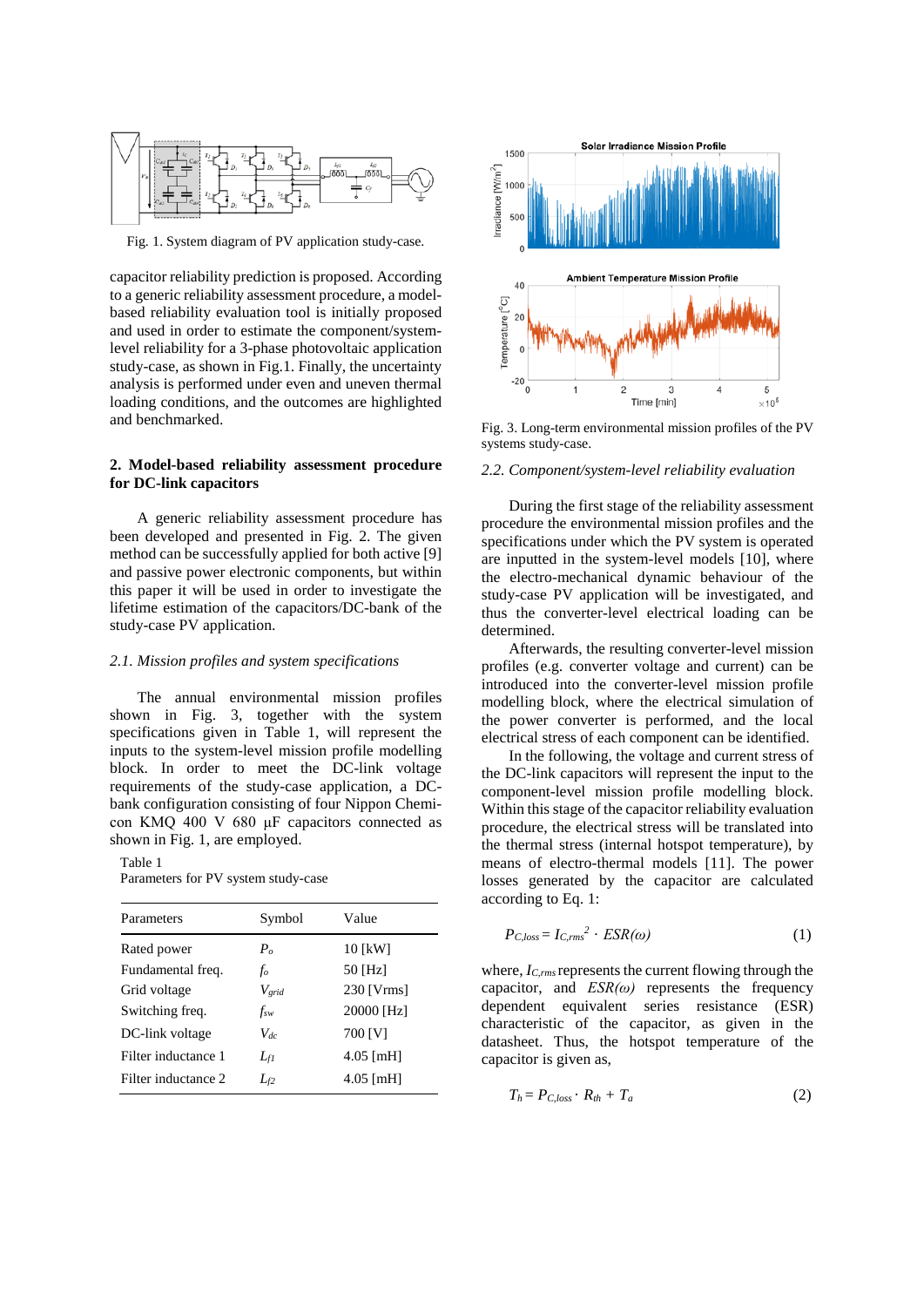

Fig. 1. System diagram of PV application study-case.

capacitor reliability prediction is proposed. According to a generic reliability assessment procedure, a modelbased reliability evaluation tool is initially proposed and used in order to estimate the component/systemlevel reliability for a 3-phase photovoltaic application study-case, as shown in Fig.1. Finally, the uncertainty analysis is performed under even and uneven thermal loading conditions, and the outcomes are highlighted and benchmarked.

### **2. Model-based reliability assessment procedure for DC-link capacitors**

A generic reliability assessment procedure has been developed and presented in Fig. 2. The given method can be successfully applied for both active [9] and passive power electronic components, but within this paper it will be used in order to investigate the lifetime estimation of the capacitors/DC-bank of the study-case PV application.

#### *2.1. Mission profiles and system specifications*

The annual environmental mission profiles shown in Fig. 3, together with the system specifications given in Table 1, will represent the inputs to the system-level mission profile modelling block. In order to meet the DC-link voltage requirements of the study-case application, a DCbank configuration consisting of four Nippon Chemicon KMQ 400 V 680 μF capacitors connected as shown in Fig. 1, are employed.

Table 1

Parameters for PV system study-case

| Parameters          | Symbol       | Value                   |
|---------------------|--------------|-------------------------|
| Rated power         | $P_{\alpha}$ | 10 [kW]                 |
| Fundamental freq.   | fo           | 50 [Hz]                 |
| Grid voltage        | $V_{grid}$   | $230$ [V $\text{rms}$ ] |
| Switching freq.     | $f_{sw}$     | 20000 [Hz]              |
| DC-link voltage     | $V_{dc}$     | 700 [V]                 |
| Filter inductance 1 | $L_{fl}$     | $4.05$ [mH]             |
| Filter inductance 2 | $L_{\rm f2}$ | $4.05$ [mH]             |



Fig. 3. Long-term environmental mission profiles of the PV systems study-case.

#### *2.2. Component/system-level reliability evaluation*

During the first stage of the reliability assessment procedure the environmental mission profiles and the specifications under which the PV system is operated are inputted in the system-level models [10], where the electro-mechanical dynamic behaviour of the study-case PV application will be investigated, and thus the converter-level electrical loading can be determined.

Afterwards, the resulting converter-level mission profiles (e.g. converter voltage and current) can be introduced into the converter-level mission profile modelling block, where the electrical simulation of the power converter is performed, and the local electrical stress of each component can be identified.

In the following, the voltage and current stress of the DC-link capacitors will represent the input to the component-level mission profile modelling block. Within this stage of the capacitor reliability evaluation procedure, the electrical stress will be translated into the thermal stress (internal hotspot temperature), by means of electro-thermal models [11]. The power losses generated by the capacitor are calculated according to Eq. 1:

$$
P_{C,loss} = I_{C,rms}^2 \cdot ESR(\omega) \tag{1}
$$

where,  $I_{C,rms}$  represents the current flowing through the capacitor, and *ESR(ω)* represents the frequency dependent equivalent series resistance (ESR) characteristic of the capacitor, as given in the datasheet. Thus, the hotspot temperature of the capacitor is given as,

$$
T_h = P_{C, loss} \cdot R_{th} + T_a \tag{2}
$$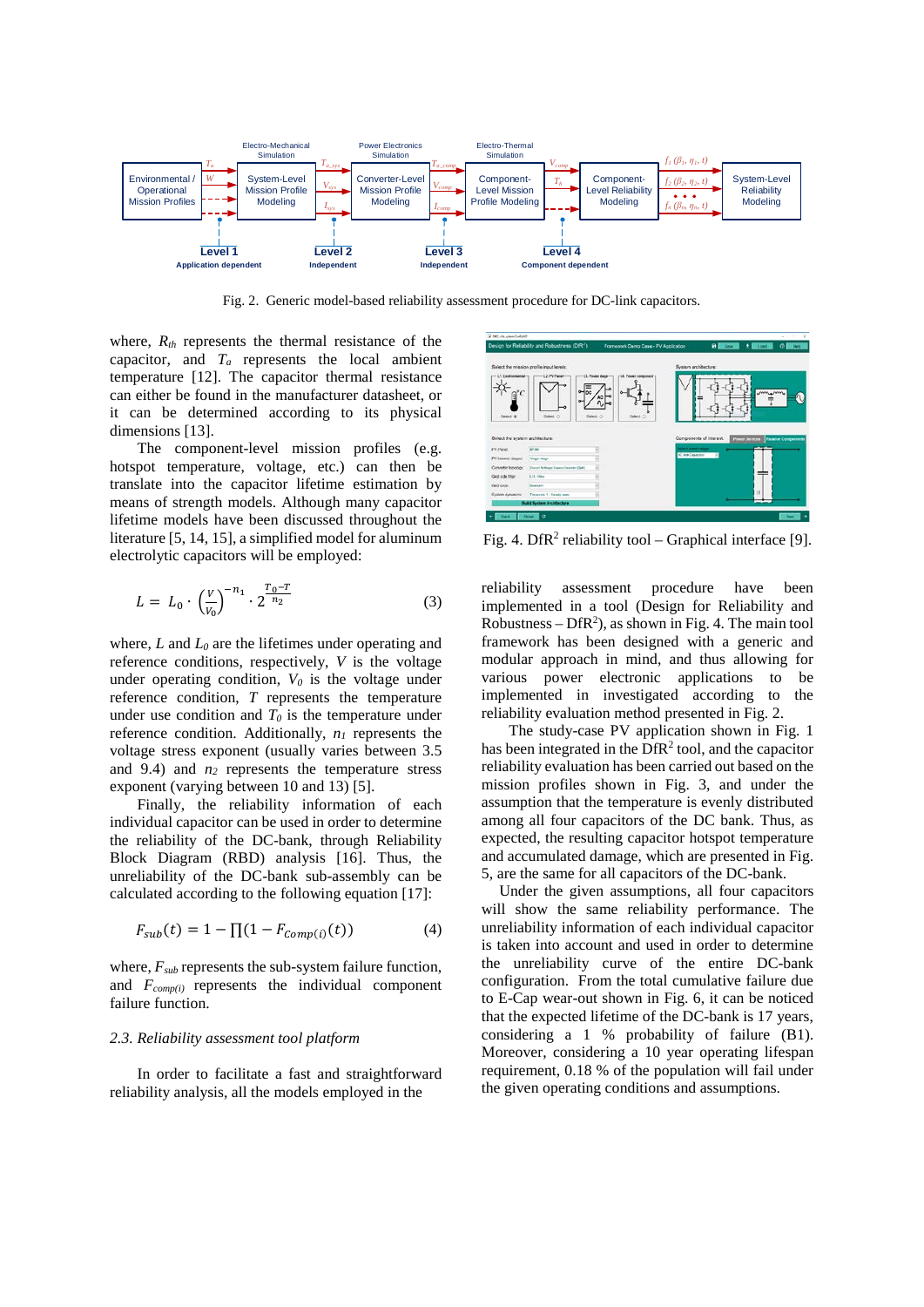

Fig. 2. Generic model-based reliability assessment procedure for DC-link capacitors.

where,  $R_{th}$  represents the thermal resistance of the capacitor, and *Ta* represents the local ambient temperature [12]. The capacitor thermal resistance can either be found in the manufacturer datasheet, or it can be determined according to its physical dimensions [13].

The component-level mission profiles (e.g. hotspot temperature, voltage, etc.) can then be translate into the capacitor lifetime estimation by means of strength models. Although many capacitor lifetime models have been discussed throughout the literature [5, 14, 15], a simplified model for aluminum electrolytic capacitors will be employed:

$$
L = L_0 \cdot \left(\frac{V}{V_0}\right)^{-n_1} \cdot 2^{\frac{T_0 - T}{n_2}} \tag{3}
$$

where, *L* and *L0* are the lifetimes under operating and reference conditions, respectively, *V* is the voltage under operating condition,  $V_0$  is the voltage under reference condition, *T* represents the temperature under use condition and  $T_0$  is the temperature under reference condition. Additionally,  $n_l$  represents the voltage stress exponent (usually varies between 3.5 and  $9.4$ ) and  $n_2$  represents the temperature stress exponent (varying between 10 and 13) [5].

Finally, the reliability information of each individual capacitor can be used in order to determine the reliability of the DC-bank, through Reliability Block Diagram (RBD) analysis [16]. Thus, the unreliability of the DC-bank sub-assembly can be calculated according to the following equation [17]:

$$
F_{sub}(t) = 1 - \prod (1 - F_{comp(i)}(t))
$$
 (4)

where,  $F_{sub}$  represents the sub-system failure function, and  $F_{\text{comp}(i)}$  represents the individual component failure function.

#### *2.3. Reliability assessment tool platform*

In order to facilitate a fast and straightforward reliability analysis, all the models employed in the



Fig. 4. DfR<sup>2</sup> reliability tool – Graphical interface [9].

reliability assessment procedure have been implemented in a tool (Design for Reliability and Robustness  $-DfR<sup>2</sup>$ ), as shown in Fig. 4. The main tool framework has been designed with a generic and modular approach in mind, and thus allowing for various power electronic applications to be implemented in investigated according to the reliability evaluation method presented in Fig. 2.

The study-case PV application shown in Fig. 1 has been integrated in the  $\text{DfR}^2$  tool, and the capacitor reliability evaluation has been carried out based on the mission profiles shown in Fig. 3, and under the assumption that the temperature is evenly distributed among all four capacitors of the DC bank. Thus, as expected, the resulting capacitor hotspot temperature and accumulated damage, which are presented in Fig. 5, are the same for all capacitors of the DC-bank.

Under the given assumptions, all four capacitors will show the same reliability performance. The unreliability information of each individual capacitor is taken into account and used in order to determine the unreliability curve of the entire DC-bank configuration. From the total cumulative failure due to E-Cap wear-out shown in Fig. 6, it can be noticed that the expected lifetime of the DC-bank is 17 years, considering a 1 % probability of failure (B1). Moreover, considering a 10 year operating lifespan requirement, 0.18 % of the population will fail under the given operating conditions and assumptions.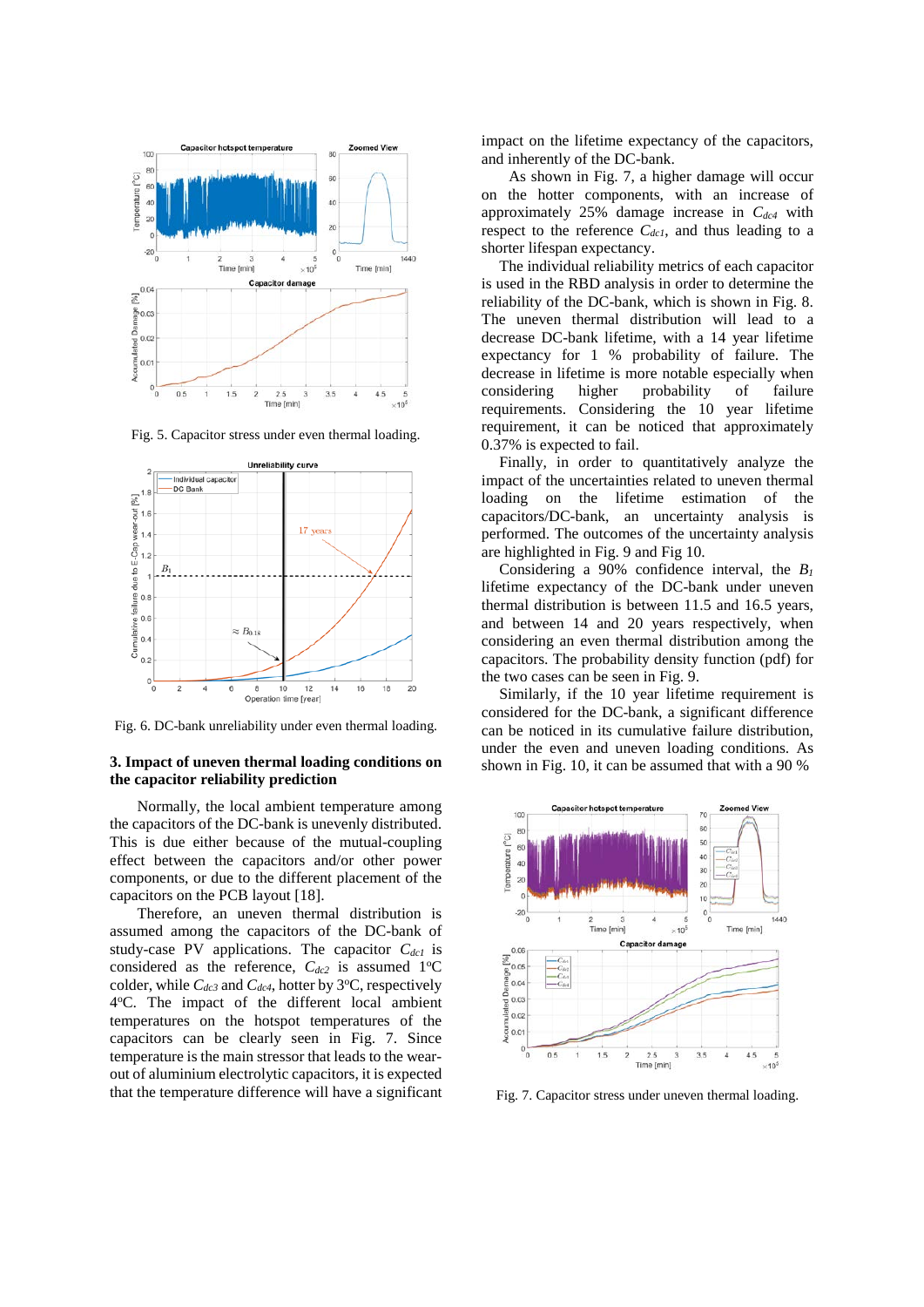

Fig. 5. Capacitor stress under even thermal loading.



Fig. 6. DC-bank unreliability under even thermal loading.

## **3. Impact of uneven thermal loading conditions on the capacitor reliability prediction**

Normally, the local ambient temperature among the capacitors of the DC-bank is unevenly distributed. This is due either because of the mutual-coupling effect between the capacitors and/or other power components, or due to the different placement of the capacitors on the PCB layout [18].

Therefore, an uneven thermal distribution is assumed among the capacitors of the DC-bank of study-case PV applications. The capacitor C<sub>dc1</sub> is considered as the reference,  $C_{dc2}$  is assumed 1<sup>o</sup>C colder, while  $C_{dc3}$  and  $C_{dc4}$ , hotter by 3<sup>o</sup>C, respectively 4°C. The impact of the different local ambient temperatures on the hotspot temperatures of the capacitors can be clearly seen in Fig. 7. Since temperature is the main stressor that leads to the wearout of aluminium electrolytic capacitors, it is expected that the temperature difference will have a significant

impact on the lifetime expectancy of the capacitors, and inherently of the DC-bank.

As shown in Fig. 7, a higher damage will occur on the hotter components, with an increase of approximately  $25%$  damage increase in  $C_{dc4}$  with respect to the reference  $C_{dcl}$ , and thus leading to a shorter lifespan expectancy.

The individual reliability metrics of each capacitor is used in the RBD analysis in order to determine the reliability of the DC-bank, which is shown in Fig. 8. The uneven thermal distribution will lead to a decrease DC-bank lifetime, with a 14 year lifetime expectancy for 1 % probability of failure. The decrease in lifetime is more notable especially when considering higher probability of failure requirements. Considering the 10 year lifetime requirement, it can be noticed that approximately 0.37% is expected to fail.

Finally, in order to quantitatively analyze the impact of the uncertainties related to uneven thermal loading on the lifetime estimation of the capacitors/DC-bank, an uncertainty analysis is performed. The outcomes of the uncertainty analysis are highlighted in Fig. 9 and Fig 10.

Considering a 90% confidence interval, the *B1* lifetime expectancy of the DC-bank under uneven thermal distribution is between 11.5 and 16.5 years, and between 14 and 20 years respectively, when considering an even thermal distribution among the capacitors. The probability density function (pdf) for the two cases can be seen in Fig. 9.

Similarly, if the 10 year lifetime requirement is considered for the DC-bank, a significant difference can be noticed in its cumulative failure distribution, under the even and uneven loading conditions. As shown in Fig. 10, it can be assumed that with a 90 %



Fig. 7. Capacitor stress under uneven thermal loading.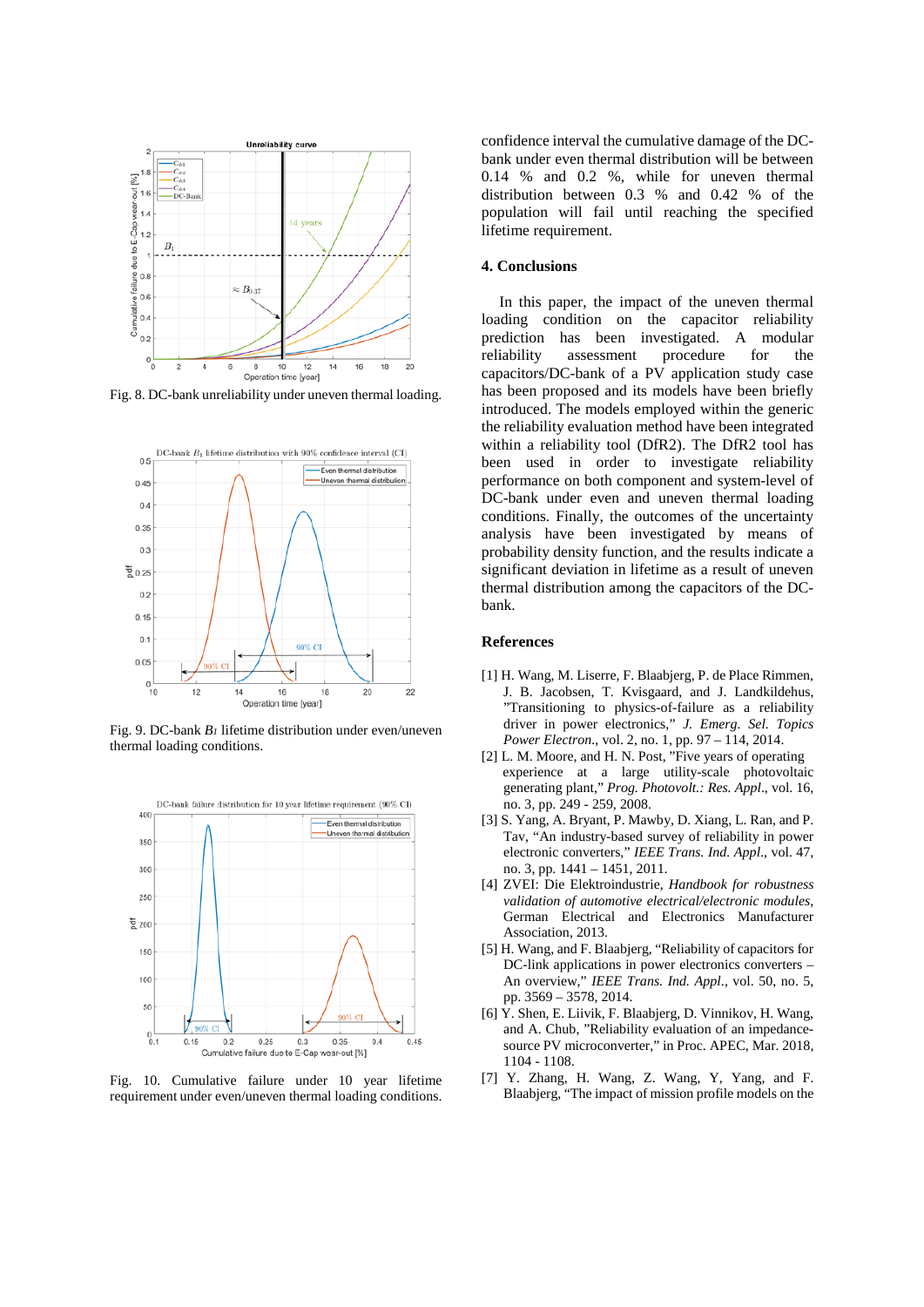

Fig. 8. DC-bank unreliability under uneven thermal loading.



Fig. 9. DC-bank *B1* lifetime distribution under even/uneven thermal loading conditions.



Fig. 10. Cumulative failure under 10 year lifetime requirement under even/uneven thermal loading conditions.

confidence interval the cumulative damage of the DCbank under even thermal distribution will be between 0.14 % and 0.2 %, while for uneven thermal distribution between 0.3 % and 0.42 % of the population will fail until reaching the specified lifetime requirement.

#### **4. Conclusions**

In this paper, the impact of the uneven thermal loading condition on the capacitor reliability prediction has been investigated. A modular reliability assessment procedure for the capacitors/DC-bank of a PV application study case has been proposed and its models have been briefly introduced. The models employed within the generic the reliability evaluation method have been integrated within a reliability tool (DfR2). The DfR2 tool has been used in order to investigate reliability performance on both component and system-level of DC-bank under even and uneven thermal loading conditions. Finally, the outcomes of the uncertainty analysis have been investigated by means of probability density function, and the results indicate a significant deviation in lifetime as a result of uneven thermal distribution among the capacitors of the DCbank.

#### **References**

- [1] H. Wang, M. Liserre, F. Blaabjerg, P. de Place Rimmen, J. B. Jacobsen, T. Kvisgaard, and J. Landkildehus, "Transitioning to physics-of-failure as a reliability driver in power electronics," *J. Emerg. Sel. Topics Power Electron.*, vol. 2, no. 1, pp. 97 – 114, 2014.
- [2] L. M. Moore, and H. N. Post, "Five years of operating experience at a large utility-scale photovoltaic generating plant," *Prog. Photovolt.: Res. Appl*., vol. 16, no. 3, pp. 249 - 259, 2008.
- [3] S. Yang, A. Bryant, P. Mawby, D. Xiang, L. Ran, and P. Tav, "An industry-based survey of reliability in power electronic converters," *IEEE Trans. Ind. Appl*., vol. 47, no. 3, pp. 1441 – 1451, 2011.
- [4] ZVEI: Die Elektroindustrie, *Handbook for robustness validation of automotive electrical/electronic modules*, German Electrical and Electronics Manufacturer Association, 2013.
- [5] H. Wang, and F. Blaabjerg, "Reliability of capacitors for DC-link applications in power electronics converters – An overview," *IEEE Trans. Ind. Appl*., vol. 50, no. 5, pp. 3569 – 3578, 2014.
- [6] Y. Shen, E. Liivik, F. Blaabjerg, D. Vinnikov, H. Wang, and A. Chub, "Reliability evaluation of an impedancesource PV microconverter," in Proc. APEC, Mar. 2018, 1104 - 1108.
- [7] Y. Zhang, H. Wang, Z. Wang, Y, Yang, and F. Blaabjerg, "The impact of mission profile models on the